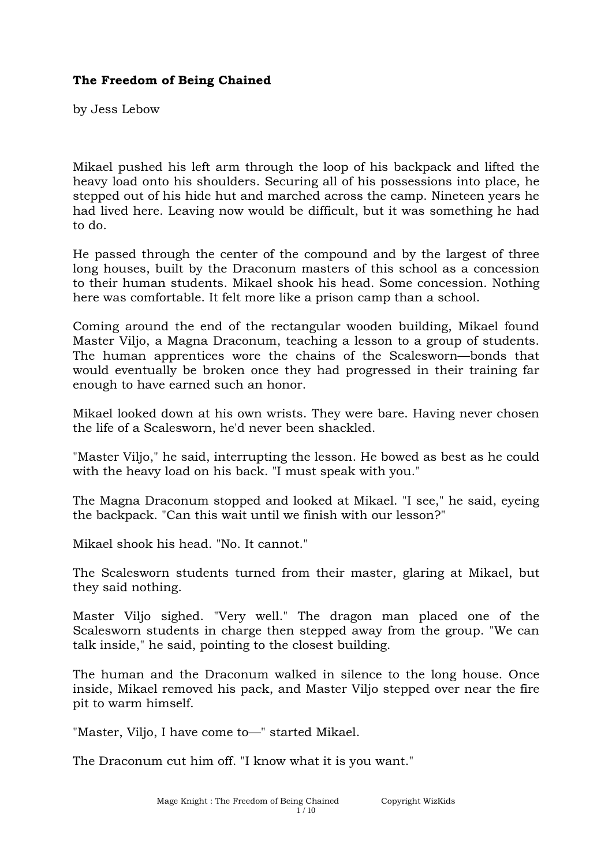## **The Freedom of Being Chained**

by Jess Lebow

Mikael pushed his left arm through the loop of his backpack and lifted the heavy load onto his shoulders. Securing all of his possessions into place, he stepped out of his hide hut and marched across the camp. Nineteen years he had lived here. Leaving now would be difficult, but it was something he had to do.

He passed through the center of the compound and by the largest of three long houses, built by the Draconum masters of this school as a concession to their human students. Mikael shook his head. Some concession. Nothing here was comfortable. It felt more like a prison camp than a school.

Coming around the end of the rectangular wooden building, Mikael found Master Viljo, a Magna Draconum, teaching a lesson to a group of students. The human apprentices wore the chains of the Scalesworn—bonds that would eventually be broken once they had progressed in their training far enough to have earned such an honor.

Mikael looked down at his own wrists. They were bare. Having never chosen the life of a Scalesworn, he'd never been shackled.

"Master Viljo," he said, interrupting the lesson. He bowed as best as he could with the heavy load on his back. "I must speak with you."

The Magna Draconum stopped and looked at Mikael. "I see," he said, eyeing the backpack. "Can this wait until we finish with our lesson?"

Mikael shook his head. "No. It cannot."

The Scalesworn students turned from their master, glaring at Mikael, but they said nothing.

Master Viljo sighed. "Very well." The dragon man placed one of the Scalesworn students in charge then stepped away from the group. "We can talk inside," he said, pointing to the closest building.

The human and the Draconum walked in silence to the long house. Once inside, Mikael removed his pack, and Master Viljo stepped over near the fire pit to warm himself.

"Master, Viljo, I have come to—" started Mikael.

The Draconum cut him off. "I know what it is you want."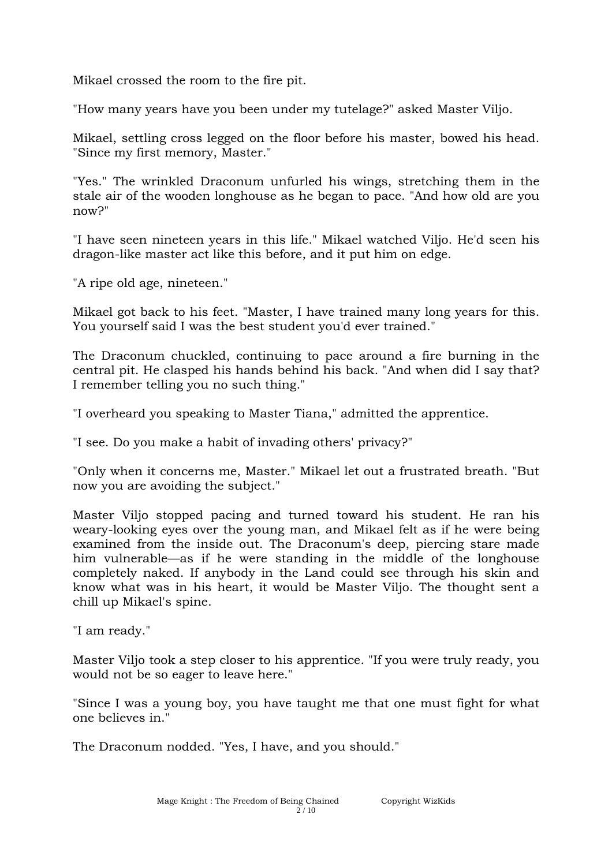Mikael crossed the room to the fire pit.

"How many years have you been under my tutelage?" asked Master Viljo.

Mikael, settling cross legged on the floor before his master, bowed his head. "Since my first memory, Master."

"Yes." The wrinkled Draconum unfurled his wings, stretching them in the stale air of the wooden longhouse as he began to pace. "And how old are you now?"

"I have seen nineteen years in this life." Mikael watched Viljo. He'd seen his dragon-like master act like this before, and it put him on edge.

"A ripe old age, nineteen."

Mikael got back to his feet. "Master, I have trained many long years for this. You yourself said I was the best student you'd ever trained."

The Draconum chuckled, continuing to pace around a fire burning in the central pit. He clasped his hands behind his back. "And when did I say that? I remember telling you no such thing."

"I overheard you speaking to Master Tiana," admitted the apprentice.

"I see. Do you make a habit of invading others' privacy?"

"Only when it concerns me, Master." Mikael let out a frustrated breath. "But now you are avoiding the subject."

Master Viljo stopped pacing and turned toward his student. He ran his weary-looking eyes over the young man, and Mikael felt as if he were being examined from the inside out. The Draconum's deep, piercing stare made him vulnerable—as if he were standing in the middle of the longhouse completely naked. If anybody in the Land could see through his skin and know what was in his heart, it would be Master Viljo. The thought sent a chill up Mikael's spine.

"I am ready."

Master Viljo took a step closer to his apprentice. "If you were truly ready, you would not be so eager to leave here."

"Since I was a young boy, you have taught me that one must fight for what one believes in."

The Draconum nodded. "Yes, I have, and you should."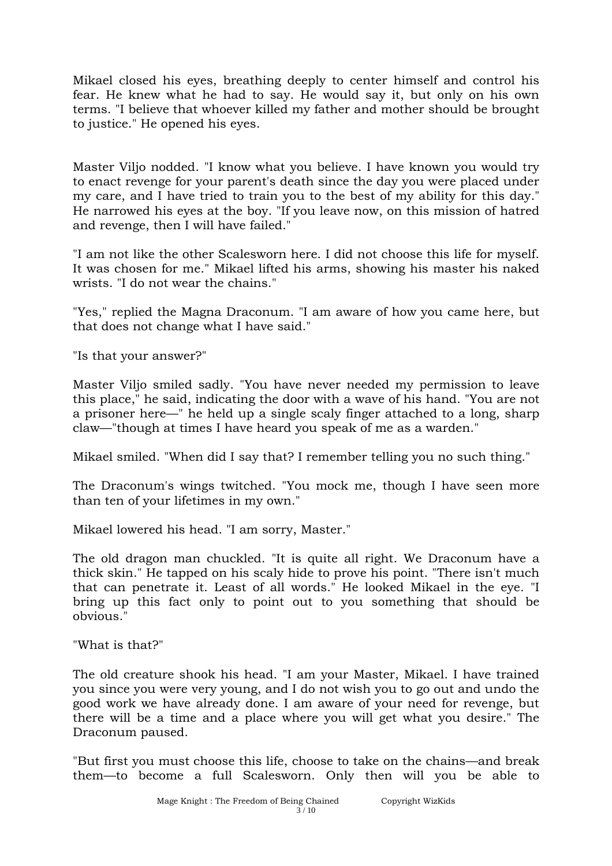Mikael closed his eyes, breathing deeply to center himself and control his fear. He knew what he had to say. He would say it, but only on his own terms. "I believe that whoever killed my father and mother should be brought to justice." He opened his eyes.

Master Viljo nodded. "I know what you believe. I have known you would try to enact revenge for your parent's death since the day you were placed under my care, and I have tried to train you to the best of my ability for this day." He narrowed his eyes at the boy. "If you leave now, on this mission of hatred and revenge, then I will have failed."

"I am not like the other Scalesworn here. I did not choose this life for myself. It was chosen for me." Mikael lifted his arms, showing his master his naked wrists. "I do not wear the chains."

"Yes," replied the Magna Draconum. "I am aware of how you came here, but that does not change what I have said."

"Is that your answer?"

Master Viljo smiled sadly. "You have never needed my permission to leave this place," he said, indicating the door with a wave of his hand. "You are not a prisoner here—" he held up a single scaly finger attached to a long, sharp claw—"though at times I have heard you speak of me as a warden."

Mikael smiled. "When did I say that? I remember telling you no such thing."

The Draconum's wings twitched. "You mock me, though I have seen more than ten of your lifetimes in my own."

Mikael lowered his head. "I am sorry, Master."

The old dragon man chuckled. "It is quite all right. We Draconum have a thick skin." He tapped on his scaly hide to prove his point. "There isn't much that can penetrate it. Least of all words." He looked Mikael in the eye. "I bring up this fact only to point out to you something that should be obvious."

"What is that?"

The old creature shook his head. "I am your Master, Mikael. I have trained you since you were very young, and I do not wish you to go out and undo the good work we have already done. I am aware of your need for revenge, but there will be a time and a place where you will get what you desire." The Draconum paused.

"But first you must choose this life, choose to take on the chains—and break them—to become a full Scalesworn. Only then will you be able to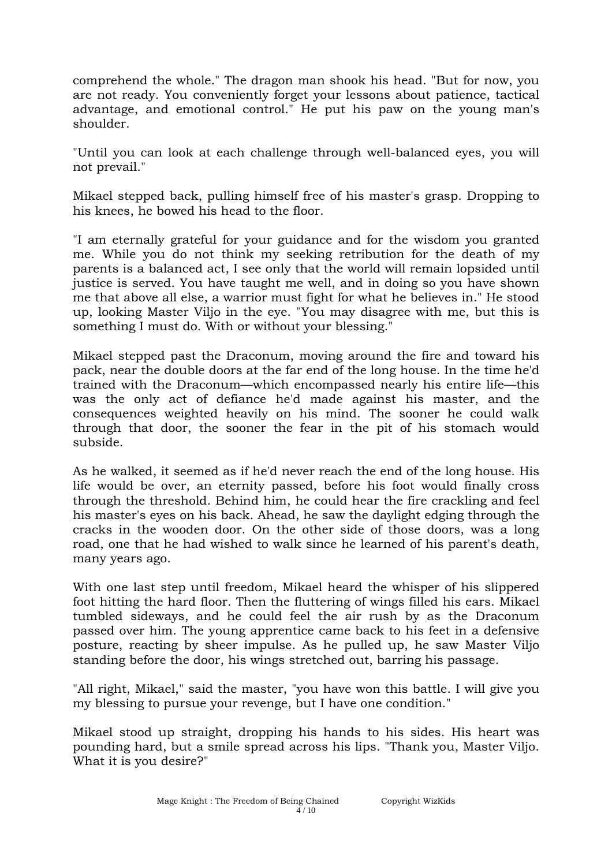comprehend the whole." The dragon man shook his head. "But for now, you are not ready. You conveniently forget your lessons about patience, tactical advantage, and emotional control." He put his paw on the young man's shoulder.

"Until you can look at each challenge through well-balanced eyes, you will not prevail."

Mikael stepped back, pulling himself free of his master's grasp. Dropping to his knees, he bowed his head to the floor.

"I am eternally grateful for your guidance and for the wisdom you granted me. While you do not think my seeking retribution for the death of my parents is a balanced act, I see only that the world will remain lopsided until justice is served. You have taught me well, and in doing so you have shown me that above all else, a warrior must fight for what he believes in." He stood up, looking Master Viljo in the eye. "You may disagree with me, but this is something I must do. With or without your blessing."

Mikael stepped past the Draconum, moving around the fire and toward his pack, near the double doors at the far end of the long house. In the time he'd trained with the Draconum—which encompassed nearly his entire life—this was the only act of defiance he'd made against his master, and the consequences weighted heavily on his mind. The sooner he could walk through that door, the sooner the fear in the pit of his stomach would subside.

As he walked, it seemed as if he'd never reach the end of the long house. His life would be over, an eternity passed, before his foot would finally cross through the threshold. Behind him, he could hear the fire crackling and feel his master's eyes on his back. Ahead, he saw the daylight edging through the cracks in the wooden door. On the other side of those doors, was a long road, one that he had wished to walk since he learned of his parent's death, many years ago.

With one last step until freedom, Mikael heard the whisper of his slippered foot hitting the hard floor. Then the fluttering of wings filled his ears. Mikael tumbled sideways, and he could feel the air rush by as the Draconum passed over him. The young apprentice came back to his feet in a defensive posture, reacting by sheer impulse. As he pulled up, he saw Master Viljo standing before the door, his wings stretched out, barring his passage.

"All right, Mikael," said the master, "you have won this battle. I will give you my blessing to pursue your revenge, but I have one condition."

Mikael stood up straight, dropping his hands to his sides. His heart was pounding hard, but a smile spread across his lips. "Thank you, Master Viljo. What it is you desire?"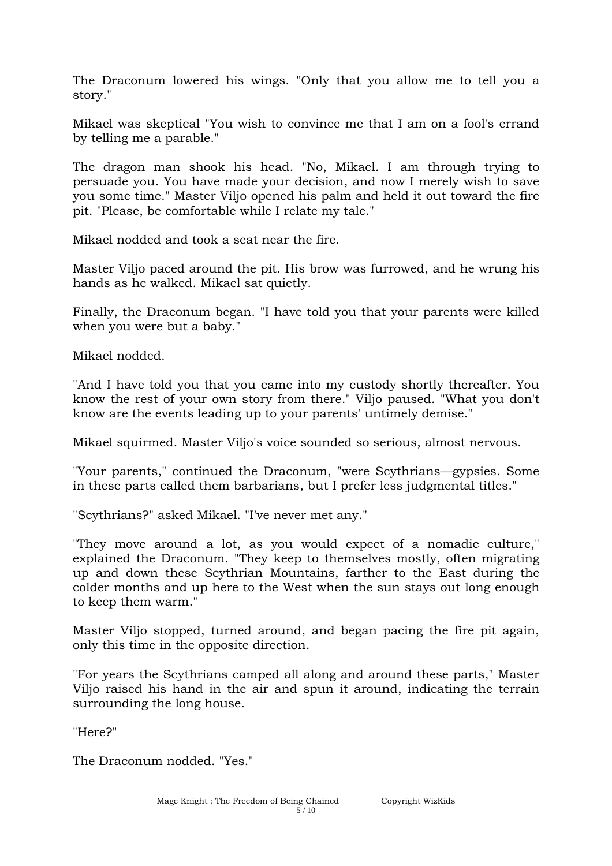The Draconum lowered his wings. "Only that you allow me to tell you a story."

Mikael was skeptical "You wish to convince me that I am on a fool's errand by telling me a parable."

The dragon man shook his head. "No, Mikael. I am through trying to persuade you. You have made your decision, and now I merely wish to save you some time." Master Viljo opened his palm and held it out toward the fire pit. "Please, be comfortable while I relate my tale."

Mikael nodded and took a seat near the fire.

Master Viljo paced around the pit. His brow was furrowed, and he wrung his hands as he walked. Mikael sat quietly.

Finally, the Draconum began. "I have told you that your parents were killed when you were but a baby."

Mikael nodded.

"And I have told you that you came into my custody shortly thereafter. You know the rest of your own story from there." Viljo paused. "What you don't know are the events leading up to your parents' untimely demise."

Mikael squirmed. Master Viljo's voice sounded so serious, almost nervous.

"Your parents," continued the Draconum, "were Scythrians—gypsies. Some in these parts called them barbarians, but I prefer less judgmental titles."

"Scythrians?" asked Mikael. "I've never met any."

"They move around a lot, as you would expect of a nomadic culture," explained the Draconum. "They keep to themselves mostly, often migrating up and down these Scythrian Mountains, farther to the East during the colder months and up here to the West when the sun stays out long enough to keep them warm."

Master Viljo stopped, turned around, and began pacing the fire pit again, only this time in the opposite direction.

"For years the Scythrians camped all along and around these parts," Master Viljo raised his hand in the air and spun it around, indicating the terrain surrounding the long house.

"Here?"

The Draconum nodded. "Yes."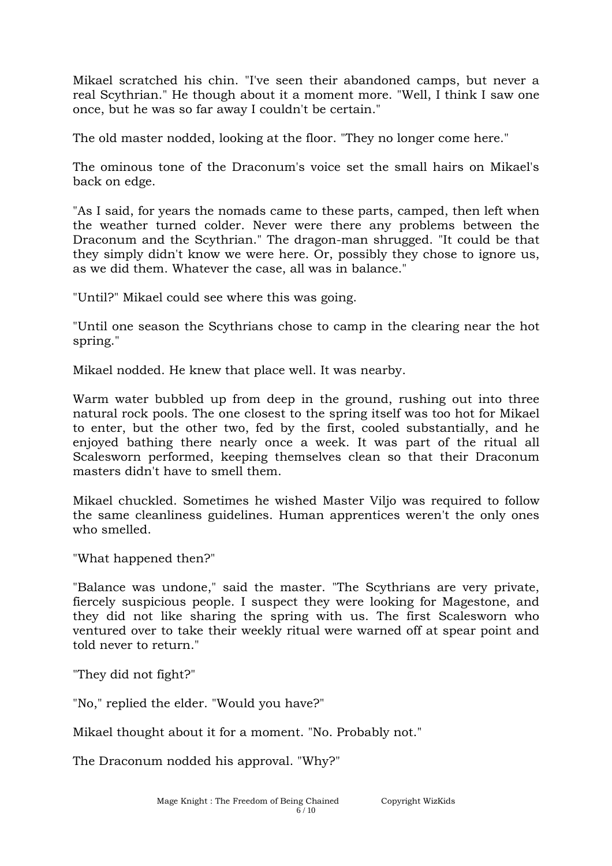Mikael scratched his chin. "I've seen their abandoned camps, but never a real Scythrian." He though about it a moment more. "Well, I think I saw one once, but he was so far away I couldn't be certain."

The old master nodded, looking at the floor. "They no longer come here."

The ominous tone of the Draconum's voice set the small hairs on Mikael's back on edge.

"As I said, for years the nomads came to these parts, camped, then left when the weather turned colder. Never were there any problems between the Draconum and the Scythrian." The dragon-man shrugged. "It could be that they simply didn't know we were here. Or, possibly they chose to ignore us, as we did them. Whatever the case, all was in balance."

"Until?" Mikael could see where this was going.

"Until one season the Scythrians chose to camp in the clearing near the hot spring."

Mikael nodded. He knew that place well. It was nearby.

Warm water bubbled up from deep in the ground, rushing out into three natural rock pools. The one closest to the spring itself was too hot for Mikael to enter, but the other two, fed by the first, cooled substantially, and he enjoyed bathing there nearly once a week. It was part of the ritual all Scalesworn performed, keeping themselves clean so that their Draconum masters didn't have to smell them.

Mikael chuckled. Sometimes he wished Master Viljo was required to follow the same cleanliness guidelines. Human apprentices weren't the only ones who smelled.

"What happened then?"

"Balance was undone," said the master. "The Scythrians are very private, fiercely suspicious people. I suspect they were looking for Magestone, and they did not like sharing the spring with us. The first Scalesworn who ventured over to take their weekly ritual were warned off at spear point and told never to return."

"They did not fight?"

"No," replied the elder. "Would you have?"

Mikael thought about it for a moment. "No. Probably not."

The Draconum nodded his approval. "Why?"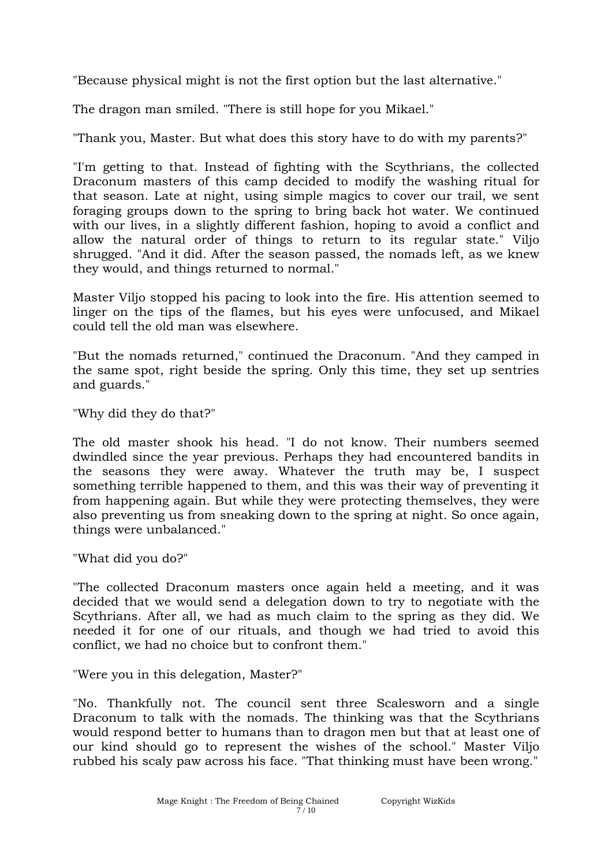"Because physical might is not the first option but the last alternative."

The dragon man smiled. "There is still hope for you Mikael."

"Thank you, Master. But what does this story have to do with my parents?"

"I'm getting to that. Instead of fighting with the Scythrians, the collected Draconum masters of this camp decided to modify the washing ritual for that season. Late at night, using simple magics to cover our trail, we sent foraging groups down to the spring to bring back hot water. We continued with our lives, in a slightly different fashion, hoping to avoid a conflict and allow the natural order of things to return to its regular state." Viljo shrugged. "And it did. After the season passed, the nomads left, as we knew they would, and things returned to normal."

Master Viljo stopped his pacing to look into the fire. His attention seemed to linger on the tips of the flames, but his eyes were unfocused, and Mikael could tell the old man was elsewhere.

"But the nomads returned," continued the Draconum. "And they camped in the same spot, right beside the spring. Only this time, they set up sentries and guards."

"Why did they do that?"

The old master shook his head. "I do not know. Their numbers seemed dwindled since the year previous. Perhaps they had encountered bandits in the seasons they were away. Whatever the truth may be, I suspect something terrible happened to them, and this was their way of preventing it from happening again. But while they were protecting themselves, they were also preventing us from sneaking down to the spring at night. So once again, things were unbalanced."

"What did you do?"

"The collected Draconum masters once again held a meeting, and it was decided that we would send a delegation down to try to negotiate with the Scythrians. After all, we had as much claim to the spring as they did. We needed it for one of our rituals, and though we had tried to avoid this conflict, we had no choice but to confront them."

"Were you in this delegation, Master?"

"No. Thankfully not. The council sent three Scalesworn and a single Draconum to talk with the nomads. The thinking was that the Scythrians would respond better to humans than to dragon men but that at least one of our kind should go to represent the wishes of the school." Master Viljo rubbed his scaly paw across his face. "That thinking must have been wrong."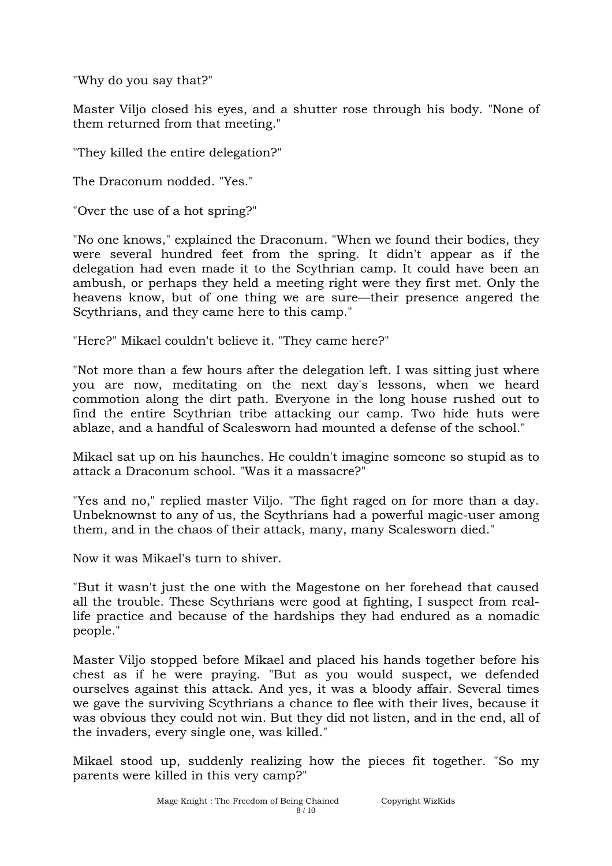"Why do you say that?"

Master Viljo closed his eyes, and a shutter rose through his body. "None of them returned from that meeting."

"They killed the entire delegation?"

The Draconum nodded. "Yes."

"Over the use of a hot spring?"

"No one knows," explained the Draconum. "When we found their bodies, they were several hundred feet from the spring. It didn't appear as if the delegation had even made it to the Scythrian camp. It could have been an ambush, or perhaps they held a meeting right were they first met. Only the heavens know, but of one thing we are sure—their presence angered the Scythrians, and they came here to this camp."

"Here?" Mikael couldn't believe it. "They came here?"

"Not more than a few hours after the delegation left. I was sitting just where you are now, meditating on the next day's lessons, when we heard commotion along the dirt path. Everyone in the long house rushed out to find the entire Scythrian tribe attacking our camp. Two hide huts were ablaze, and a handful of Scalesworn had mounted a defense of the school."

Mikael sat up on his haunches. He couldn't imagine someone so stupid as to attack a Draconum school. "Was it a massacre?"

"Yes and no," replied master Viljo. "The fight raged on for more than a day. Unbeknownst to any of us, the Scythrians had a powerful magic-user among them, and in the chaos of their attack, many, many Scalesworn died."

Now it was Mikael's turn to shiver.

"But it wasn't just the one with the Magestone on her forehead that caused all the trouble. These Scythrians were good at fighting, I suspect from reallife practice and because of the hardships they had endured as a nomadic people."

Master Viljo stopped before Mikael and placed his hands together before his chest as if he were praying. "But as you would suspect, we defended ourselves against this attack. And yes, it was a bloody affair. Several times we gave the surviving Scythrians a chance to flee with their lives, because it was obvious they could not win. But they did not listen, and in the end, all of the invaders, every single one, was killed."

Mikael stood up, suddenly realizing how the pieces fit together. "So my parents were killed in this very camp?"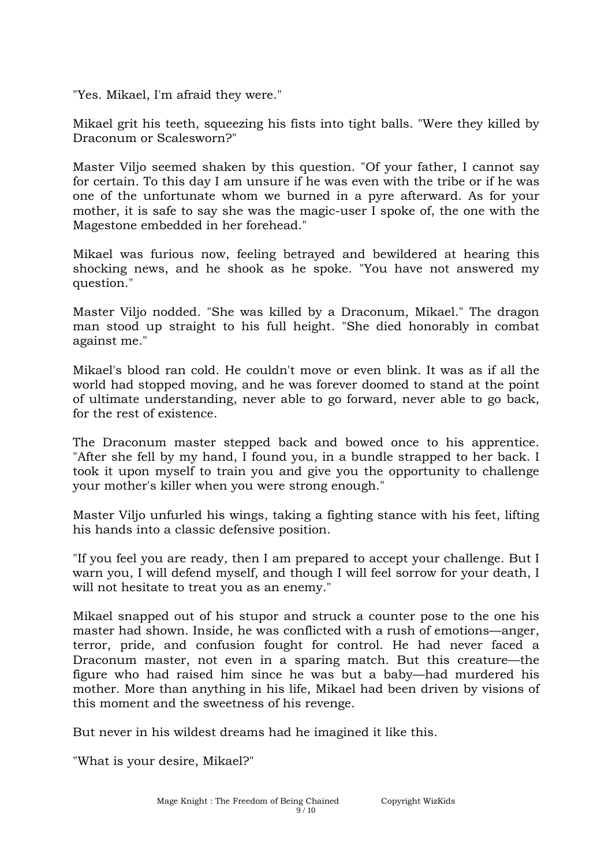"Yes. Mikael, I'm afraid they were."

Mikael grit his teeth, squeezing his fists into tight balls. "Were they killed by Draconum or Scalesworn?"

Master Viljo seemed shaken by this question. "Of your father, I cannot say for certain. To this day I am unsure if he was even with the tribe or if he was one of the unfortunate whom we burned in a pyre afterward. As for your mother, it is safe to say she was the magic-user I spoke of, the one with the Magestone embedded in her forehead."

Mikael was furious now, feeling betrayed and bewildered at hearing this shocking news, and he shook as he spoke. "You have not answered my question."

Master Viljo nodded. "She was killed by a Draconum, Mikael." The dragon man stood up straight to his full height. "She died honorably in combat against me."

Mikael's blood ran cold. He couldn't move or even blink. It was as if all the world had stopped moving, and he was forever doomed to stand at the point of ultimate understanding, never able to go forward, never able to go back, for the rest of existence.

The Draconum master stepped back and bowed once to his apprentice. "After she fell by my hand, I found you, in a bundle strapped to her back. I took it upon myself to train you and give you the opportunity to challenge your mother's killer when you were strong enough."

Master Viljo unfurled his wings, taking a fighting stance with his feet, lifting his hands into a classic defensive position.

"If you feel you are ready, then I am prepared to accept your challenge. But I warn you, I will defend myself, and though I will feel sorrow for your death, I will not hesitate to treat you as an enemy."

Mikael snapped out of his stupor and struck a counter pose to the one his master had shown. Inside, he was conflicted with a rush of emotions—anger, terror, pride, and confusion fought for control. He had never faced a Draconum master, not even in a sparing match. But this creature—the figure who had raised him since he was but a baby—had murdered his mother. More than anything in his life, Mikael had been driven by visions of this moment and the sweetness of his revenge.

But never in his wildest dreams had he imagined it like this.

"What is your desire, Mikael?"